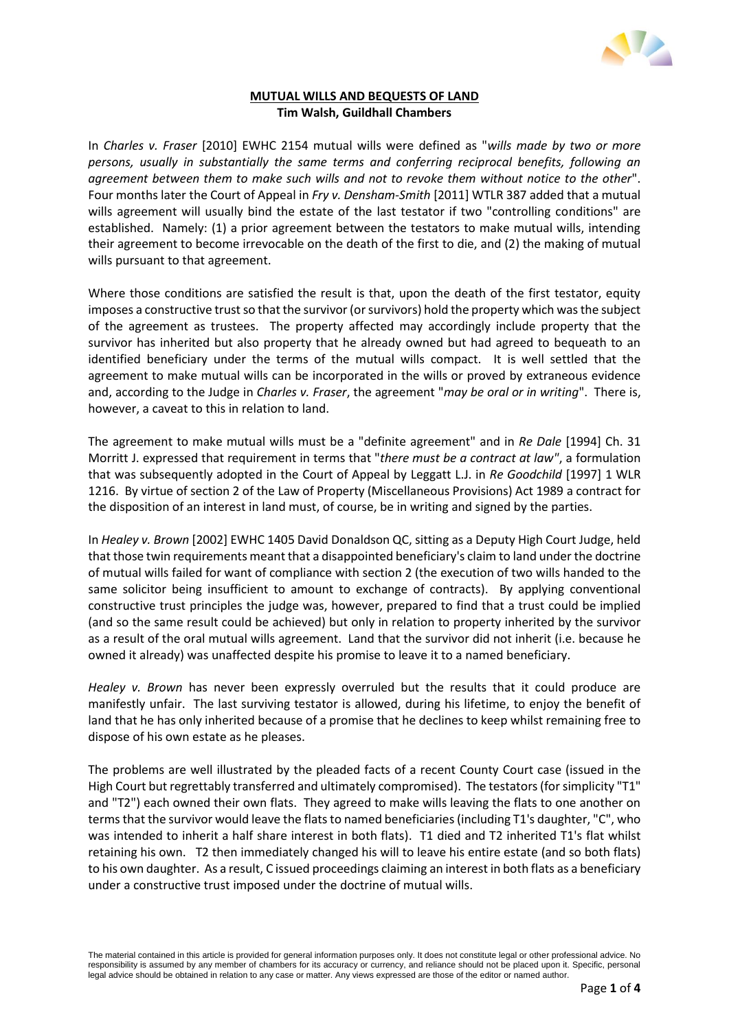

## **MUTUAL WILLS AND BEQUESTS OF LAND Tim Walsh, Guildhall Chambers**

In *Charles v. Fraser* [2010] EWHC 2154 mutual wills were defined as "*wills made by two or more persons, usually in substantially the same terms and conferring reciprocal benefits, following an agreement between them to make such wills and not to revoke them without notice to the other*". Four months later the Court of Appeal in *Fry v. Densham-Smith* [2011] WTLR 387 added that a mutual wills agreement will usually bind the estate of the last testator if two "controlling conditions" are established. Namely: (1) a prior agreement between the testators to make mutual wills, intending their agreement to become irrevocable on the death of the first to die, and (2) the making of mutual wills pursuant to that agreement.

Where those conditions are satisfied the result is that, upon the death of the first testator, equity imposes a constructive trust so that the survivor (or survivors) hold the property which was the subject of the agreement as trustees. The property affected may accordingly include property that the survivor has inherited but also property that he already owned but had agreed to bequeath to an identified beneficiary under the terms of the mutual wills compact. It is well settled that the agreement to make mutual wills can be incorporated in the wills or proved by extraneous evidence and, according to the Judge in *Charles v. Fraser*, the agreement "*may be oral or in writing*". There is, however, a caveat to this in relation to land.

The agreement to make mutual wills must be a "definite agreement" and in *Re Dale* [1994] Ch. 31 Morritt J. expressed that requirement in terms that "*there must be a contract at law"*, a formulation that was subsequently adopted in the Court of Appeal by Leggatt L.J. in *Re Goodchild* [1997] 1 WLR 1216. By virtue of section 2 of the Law of Property (Miscellaneous Provisions) Act 1989 a contract for the disposition of an interest in land must, of course, be in writing and signed by the parties.

In *Healey v. Brown* [2002] EWHC 1405 David Donaldson QC, sitting as a Deputy High Court Judge, held that those twin requirements meant that a disappointed beneficiary's claim to land under the doctrine of mutual wills failed for want of compliance with section 2 (the execution of two wills handed to the same solicitor being insufficient to amount to exchange of contracts). By applying conventional constructive trust principles the judge was, however, prepared to find that a trust could be implied (and so the same result could be achieved) but only in relation to property inherited by the survivor as a result of the oral mutual wills agreement. Land that the survivor did not inherit (i.e. because he owned it already) was unaffected despite his promise to leave it to a named beneficiary.

*Healey v. Brown* has never been expressly overruled but the results that it could produce are manifestly unfair. The last surviving testator is allowed, during his lifetime, to enjoy the benefit of land that he has only inherited because of a promise that he declines to keep whilst remaining free to dispose of his own estate as he pleases.

The problems are well illustrated by the pleaded facts of a recent County Court case (issued in the High Court but regrettably transferred and ultimately compromised). The testators (for simplicity "T1" and "T2") each owned their own flats. They agreed to make wills leaving the flats to one another on terms that the survivor would leave the flats to named beneficiaries(including T1's daughter, "C", who was intended to inherit a half share interest in both flats). T1 died and T2 inherited T1's flat whilst retaining his own. T2 then immediately changed his will to leave his entire estate (and so both flats) to his own daughter. As a result, C issued proceedings claiming an interest in both flats as a beneficiary under a constructive trust imposed under the doctrine of mutual wills.

The material contained in this article is provided for general information purposes only. It does not constitute legal or other professional advice. No responsibility is assumed by any member of chambers for its accuracy or currency, and reliance should not be placed upon it. Specific, personal legal advice should be obtained in relation to any case or matter. Any views expressed are those of the editor or named author.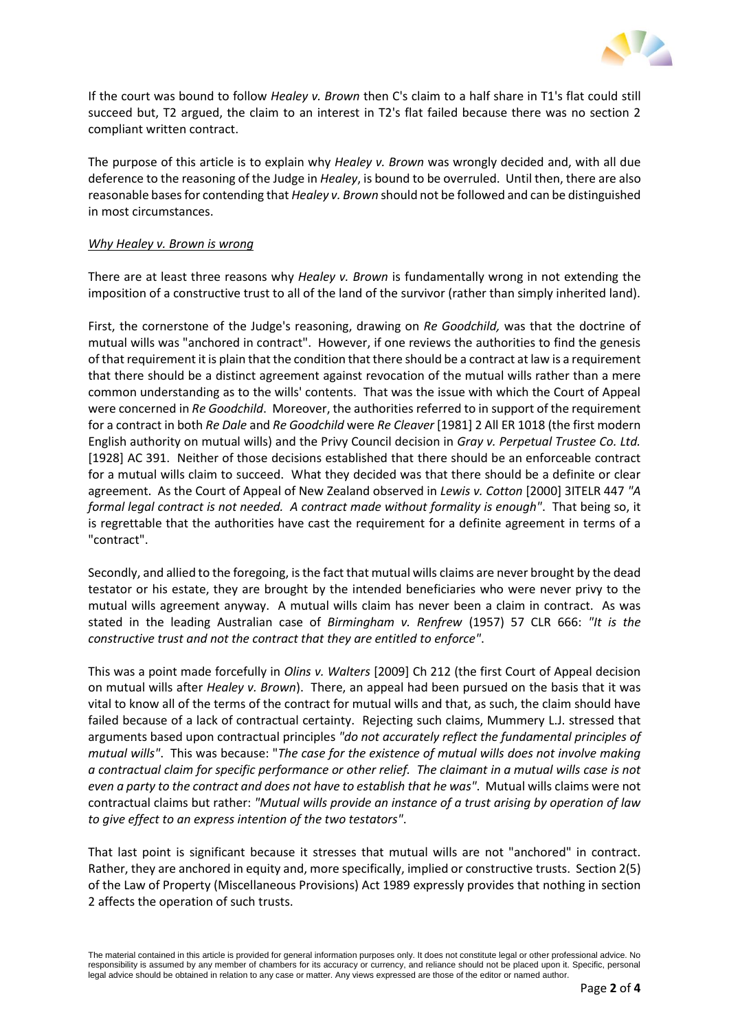

If the court was bound to follow *Healey v. Brown* then C's claim to a half share in T1's flat could still succeed but, T2 argued, the claim to an interest in T2's flat failed because there was no section 2 compliant written contract.

The purpose of this article is to explain why *Healey v. Brown* was wrongly decided and, with all due deference to the reasoning of the Judge in *Healey*, is bound to be overruled. Until then, there are also reasonable bases for contending that *Healey v. Brown* should not be followed and can be distinguished in most circumstances.

## *Why Healey v. Brown is wrong*

There are at least three reasons why *Healey v. Brown* is fundamentally wrong in not extending the imposition of a constructive trust to all of the land of the survivor (rather than simply inherited land).

First, the cornerstone of the Judge's reasoning, drawing on *Re Goodchild,* was that the doctrine of mutual wills was "anchored in contract". However, if one reviews the authorities to find the genesis of that requirement it is plain that the condition that there should be a contract at law is a requirement that there should be a distinct agreement against revocation of the mutual wills rather than a mere common understanding as to the wills' contents. That was the issue with which the Court of Appeal were concerned in *Re Goodchild*. Moreover, the authorities referred to in support of the requirement for a contract in both *Re Dale* and *Re Goodchild* were *Re Cleaver* [1981] 2 All ER 1018 (the first modern English authority on mutual wills) and the Privy Council decision in *Gray v. Perpetual Trustee Co. Ltd.*  [1928] AC 391. Neither of those decisions established that there should be an enforceable contract for a mutual wills claim to succeed. What they decided was that there should be a definite or clear agreement. As the Court of Appeal of New Zealand observed in *Lewis v. Cotton* [2000] 3ITELR 447 *"A formal legal contract is not needed. A contract made without formality is enough"*. That being so, it is regrettable that the authorities have cast the requirement for a definite agreement in terms of a "contract".

Secondly, and allied to the foregoing, is the fact that mutual wills claims are never brought by the dead testator or his estate, they are brought by the intended beneficiaries who were never privy to the mutual wills agreement anyway. A mutual wills claim has never been a claim in contract. As was stated in the leading Australian case of *Birmingham v. Renfrew* (1957) 57 CLR 666: *"It is the constructive trust and not the contract that they are entitled to enforce"*.

This was a point made forcefully in *Olins v. Walters* [2009] Ch 212 (the first Court of Appeal decision on mutual wills after *Healey v. Brown*). There, an appeal had been pursued on the basis that it was vital to know all of the terms of the contract for mutual wills and that, as such, the claim should have failed because of a lack of contractual certainty. Rejecting such claims, Mummery L.J. stressed that arguments based upon contractual principles *"do not accurately reflect the fundamental principles of mutual wills"*. This was because: "*The case for the existence of mutual wills does not involve making a contractual claim for specific performance or other relief. The claimant in a mutual wills case is not even a party to the contract and does not have to establish that he was"*. Mutual wills claims were not contractual claims but rather: *"Mutual wills provide an instance of a trust arising by operation of law to give effect to an express intention of the two testators"*.

That last point is significant because it stresses that mutual wills are not "anchored" in contract. Rather, they are anchored in equity and, more specifically, implied or constructive trusts. Section 2(5) of the Law of Property (Miscellaneous Provisions) Act 1989 expressly provides that nothing in section 2 affects the operation of such trusts.

The material contained in this article is provided for general information purposes only. It does not constitute legal or other professional advice. No responsibility is assumed by any member of chambers for its accuracy or currency, and reliance should not be placed upon it. Specific, personal legal advice should be obtained in relation to any case or matter. Any views expressed are those of the editor or named author.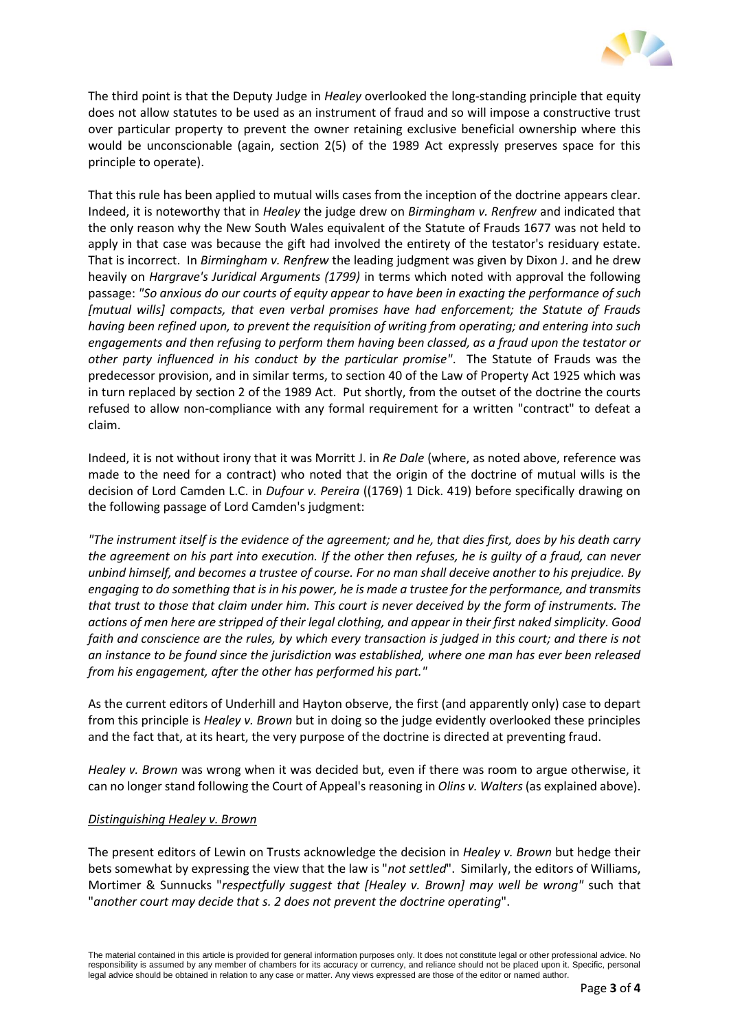

The third point is that the Deputy Judge in *Healey* overlooked the long-standing principle that equity does not allow statutes to be used as an instrument of fraud and so will impose a constructive trust over particular property to prevent the owner retaining exclusive beneficial ownership where this would be unconscionable (again, section 2(5) of the 1989 Act expressly preserves space for this principle to operate).

That this rule has been applied to mutual wills cases from the inception of the doctrine appears clear. Indeed, it is noteworthy that in *Healey* the judge drew on *Birmingham v. Renfrew* and indicated that the only reason why the New South Wales equivalent of the Statute of Frauds 1677 was not held to apply in that case was because the gift had involved the entirety of the testator's residuary estate. That is incorrect. In *Birmingham v. Renfrew* the leading judgment was given by Dixon J. and he drew heavily on *Hargrave's Juridical Arguments (1799)* in terms which noted with approval the following passage: *"So anxious do our courts of equity appear to have been in exacting the performance of such [mutual wills] compacts, that even verbal promises have had enforcement; the Statute of Frauds having been refined upon, to prevent the requisition of writing from operating; and entering into such engagements and then refusing to perform them having been classed, as a fraud upon the testator or other party influenced in his conduct by the particular promise"*. The Statute of Frauds was the predecessor provision, and in similar terms, to section 40 of the Law of Property Act 1925 which was in turn replaced by section 2 of the 1989 Act. Put shortly, from the outset of the doctrine the courts refused to allow non-compliance with any formal requirement for a written "contract" to defeat a claim.

Indeed, it is not without irony that it was Morritt J. in *Re Dale* (where, as noted above, reference was made to the need for a contract) who noted that the origin of the doctrine of mutual wills is the decision of Lord Camden L.C. in *Dufour v. Pereira* ((1769) 1 Dick. 419) before specifically drawing on the following passage of Lord Camden's judgment:

*"The instrument itself is the evidence of the agreement; and he, that dies first, does by his death carry the agreement on his part into execution. If the other then refuses, he is guilty of a fraud, can never unbind himself, and becomes a trustee of course. For no man shall deceive another to his prejudice. By engaging to do something that is in his power, he is made a trustee for the performance, and transmits that trust to those that claim under him. This court is never deceived by the form of instruments. The actions of men here are stripped of their legal clothing, and appear in their first naked simplicity. Good faith and conscience are the rules, by which every transaction is judged in this court; and there is not an instance to be found since the jurisdiction was established, where one man has ever been released from his engagement, after the other has performed his part."*

As the current editors of Underhill and Hayton observe, the first (and apparently only) case to depart from this principle is *Healey v. Brown* but in doing so the judge evidently overlooked these principles and the fact that, at its heart, the very purpose of the doctrine is directed at preventing fraud.

*Healey v. Brown* was wrong when it was decided but, even if there was room to argue otherwise, it can no longer stand following the Court of Appeal's reasoning in *Olins v. Walters* (as explained above).

## *Distinguishing Healey v. Brown*

The present editors of Lewin on Trusts acknowledge the decision in *Healey v. Brown* but hedge their bets somewhat by expressing the view that the law is "*not settled*". Similarly, the editors of Williams, Mortimer & Sunnucks "*respectfully suggest that [Healey v. Brown] may well be wrong"* such that "*another court may decide that s. 2 does not prevent the doctrine operating*".